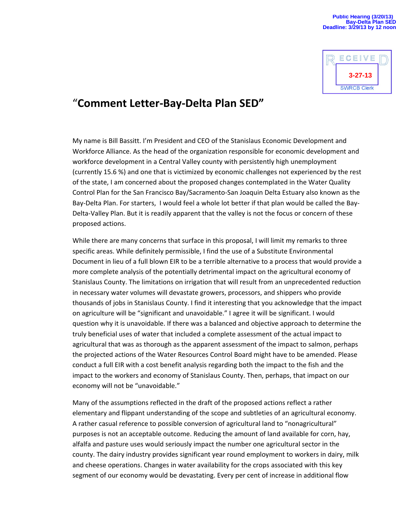

## "**Comment Letter-Bay-Delta Plan SED"**

My name is Bill Bassitt. I'm President and CEO of the Stanislaus Economic Development and Workforce Alliance. As the head of the organization responsible for economic development and workforce development in a Central Valley county with persistently high unemployment (currently 15.6 %) and one that is victimized by economic challenges not experienced by the rest of the state, I am concerned about the proposed changes contemplated in the Water Quality Control Plan for the San Francisco Bay/Sacramento-San Joaquin Delta Estuary also known as the Bay-Delta Plan. For starters, I would feel a whole lot better if that plan would be called the Bay-Delta-Valley Plan. But it is readily apparent that the valley is not the focus or concern of these proposed actions.

While there are many concerns that surface in this proposal, I will limit my remarks to three specific areas. While definitely permissible, I find the use of a Substitute Environmental Document in lieu of a full blown EIR to be a terrible alternative to a process that would provide a more complete analysis of the potentially detrimental impact on the agricultural economy of Stanislaus County. The limitations on irrigation that will result from an unprecedented reduction in necessary water volumes will devastate growers, processors, and shippers who provide thousands of jobs in Stanislaus County. I find it interesting that you acknowledge that the impact on agriculture will be "significant and unavoidable." I agree it will be significant. I would question why it is unavoidable. If there was a balanced and objective approach to determine the truly beneficial uses of water that included a complete assessment of the actual impact to agricultural that was as thorough as the apparent assessment of the impact to salmon, perhaps the projected actions of the Water Resources Control Board might have to be amended. Please conduct a full EIR with a cost benefit analysis regarding both the impact to the fish and the impact to the workers and economy of Stanislaus County. Then, perhaps, that impact on our economy will not be "unavoidable."

Many of the assumptions reflected in the draft of the proposed actions reflect a rather elementary and flippant understanding of the scope and subtleties of an agricultural economy. A rather casual reference to possible conversion of agricultural land to "nonagricultural" purposes is not an acceptable outcome. Reducing the amount of land available for corn, hay, alfalfa and pasture uses would seriously impact the number one agricultural sector in the county. The dairy industry provides significant year round employment to workers in dairy, milk and cheese operations. Changes in water availability for the crops associated with this key segment of our economy would be devastating. Every per cent of increase in additional flow